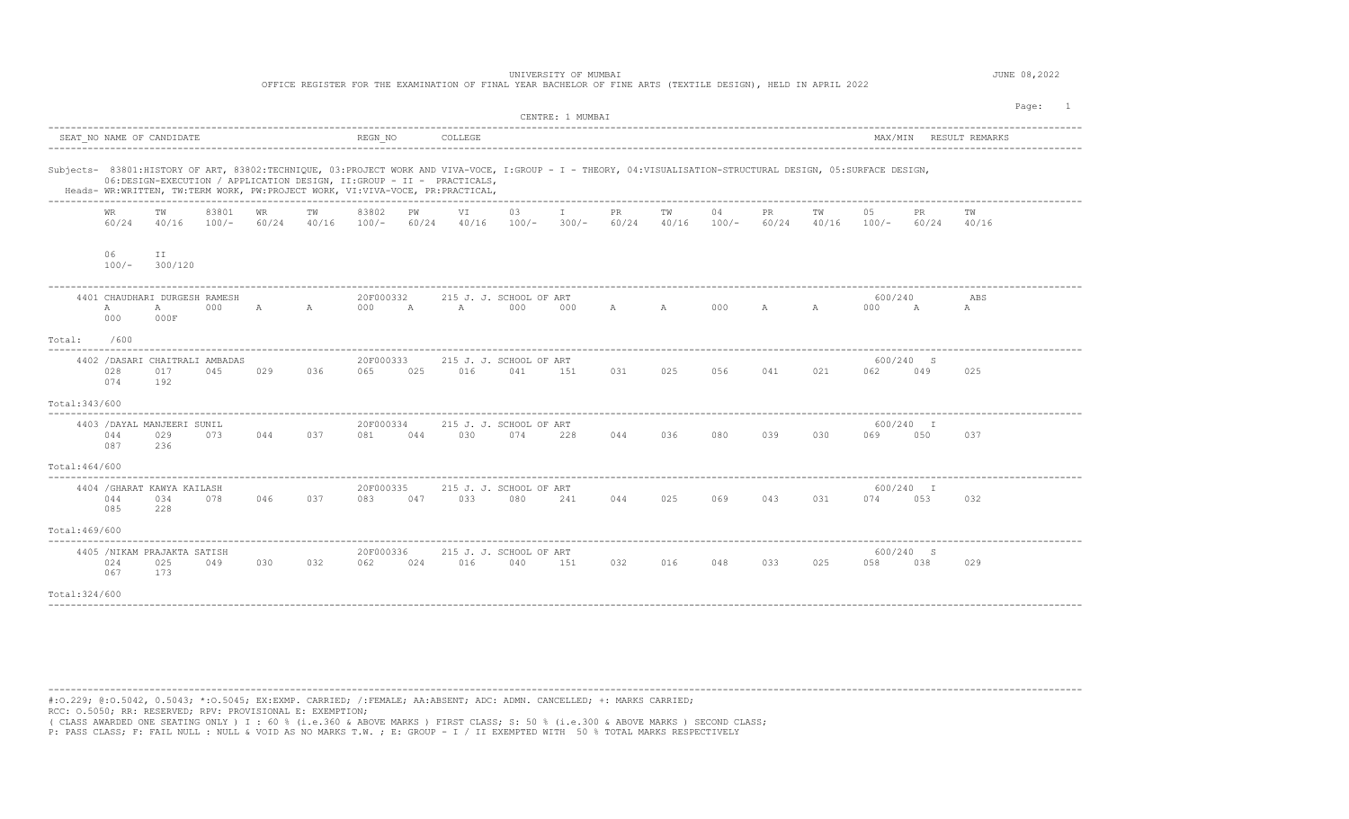## UNIVERSITY OF MUMBAI JUNE 08,2022

OFFICE REGISTER FOR THE EXAMINATION OF FINAL YEAR BACHELOR OF FINE ARTS (TEXTILE DESIGN), HELD IN APRIL 2022

| REGN NO<br>SEAT NO NAME OF CANDIDATE<br>COLLEGE<br>MAX/MIN RESULT REMARKS<br>Subjects- 83801:HISTORY OF ART, 83802:TECHNIQUE, 03:PROJECT WORK AND VIVA-VOCE, I:GROUP - I - THEORY, 04:VISUALISATION-STRUCTURAL DESIGN, 05:SURFACE DESIGN,<br>06:DESIGN-EXECUTION / APPLICATION DESIGN, II:GROUP - II - PRACTICALS,<br>Heads- WR:WRITTEN, TW:TERM WORK, PW:PROJECT WORK, VI:VIVA-VOCE, PR:PRACTICAL,<br>83801<br>03<br>WR<br>83802<br>VI<br>$\mathbb{I}$<br><b>PR</b><br>04<br>PR<br>05<br>WR<br>TW<br>TW<br>PW<br>TW<br>TW<br>PR.<br>TW<br>60/24<br>40/16<br>$100/-$<br>60/24<br>40/16<br>$100/-$<br>60/24<br>$40/16$ $100/-$<br>$300/-$<br>60/24<br>40/16<br>$100/-$<br>60/24<br>$40/16$ $100/-$<br>60/24<br>40/16<br>06<br>ΙI<br>$100/-$<br>300/120<br>4401 CHAUDHARI DURGESH RAMESH<br>20F000332<br>215 J. J. SCHOOL OF ART<br>600/240<br>ABS<br>000<br>A<br>A<br>000<br>000<br>A A 000<br>$\mathbb{A}$<br>$\mathbb{A}$<br>$\mathbb{A}$<br>000<br>$\mathbb{A}$<br>$\mathbb{A}$<br>$\overline{A}$<br>000<br>A<br>A<br>000F<br>000<br>Total:<br>600<br>600/240 S<br>4402 / DASARI CHAITRALI AMBADAS<br>20F000333<br>215 J. J. SCHOOL OF ART<br>045<br>025<br>028<br>017<br>029<br>036<br>065<br>025<br>016<br>041<br>151<br>031<br>056<br>041<br>021<br>062<br>049<br>025<br>192<br>074<br>Total:343/600<br>20F000334<br>4403 / DAYAL MANJEERI SUNIL<br>215 J. J. SCHOOL OF ART<br>600/240 I<br>044<br>073<br>030<br>039<br>029<br>044<br>037<br>044<br>074<br>228<br>044<br>036<br>080<br>030<br>069<br>050<br>037<br>081<br>087<br>236<br>Total: 464/600<br>4404 / GHARAT KAWYA KAILASH<br>215 J. J. SCHOOL OF ART<br>600/240 I |  |  |  |  |  |           |  |  |  | CENTRE: 1 MUMBAI |  |  |  |  |  |  | Page: 1 |
|------------------------------------------------------------------------------------------------------------------------------------------------------------------------------------------------------------------------------------------------------------------------------------------------------------------------------------------------------------------------------------------------------------------------------------------------------------------------------------------------------------------------------------------------------------------------------------------------------------------------------------------------------------------------------------------------------------------------------------------------------------------------------------------------------------------------------------------------------------------------------------------------------------------------------------------------------------------------------------------------------------------------------------------------------------------------------------------------------------------------------------------------------------------------------------------------------------------------------------------------------------------------------------------------------------------------------------------------------------------------------------------------------------------------------------------------------------------------------------------------------------------------------------------------------------------------------------------------------------------------------------|--|--|--|--|--|-----------|--|--|--|------------------|--|--|--|--|--|--|---------|
|                                                                                                                                                                                                                                                                                                                                                                                                                                                                                                                                                                                                                                                                                                                                                                                                                                                                                                                                                                                                                                                                                                                                                                                                                                                                                                                                                                                                                                                                                                                                                                                                                                    |  |  |  |  |  |           |  |  |  |                  |  |  |  |  |  |  |         |
|                                                                                                                                                                                                                                                                                                                                                                                                                                                                                                                                                                                                                                                                                                                                                                                                                                                                                                                                                                                                                                                                                                                                                                                                                                                                                                                                                                                                                                                                                                                                                                                                                                    |  |  |  |  |  |           |  |  |  |                  |  |  |  |  |  |  |         |
|                                                                                                                                                                                                                                                                                                                                                                                                                                                                                                                                                                                                                                                                                                                                                                                                                                                                                                                                                                                                                                                                                                                                                                                                                                                                                                                                                                                                                                                                                                                                                                                                                                    |  |  |  |  |  |           |  |  |  |                  |  |  |  |  |  |  |         |
|                                                                                                                                                                                                                                                                                                                                                                                                                                                                                                                                                                                                                                                                                                                                                                                                                                                                                                                                                                                                                                                                                                                                                                                                                                                                                                                                                                                                                                                                                                                                                                                                                                    |  |  |  |  |  |           |  |  |  |                  |  |  |  |  |  |  |         |
|                                                                                                                                                                                                                                                                                                                                                                                                                                                                                                                                                                                                                                                                                                                                                                                                                                                                                                                                                                                                                                                                                                                                                                                                                                                                                                                                                                                                                                                                                                                                                                                                                                    |  |  |  |  |  |           |  |  |  |                  |  |  |  |  |  |  |         |
|                                                                                                                                                                                                                                                                                                                                                                                                                                                                                                                                                                                                                                                                                                                                                                                                                                                                                                                                                                                                                                                                                                                                                                                                                                                                                                                                                                                                                                                                                                                                                                                                                                    |  |  |  |  |  |           |  |  |  |                  |  |  |  |  |  |  |         |
|                                                                                                                                                                                                                                                                                                                                                                                                                                                                                                                                                                                                                                                                                                                                                                                                                                                                                                                                                                                                                                                                                                                                                                                                                                                                                                                                                                                                                                                                                                                                                                                                                                    |  |  |  |  |  |           |  |  |  |                  |  |  |  |  |  |  |         |
|                                                                                                                                                                                                                                                                                                                                                                                                                                                                                                                                                                                                                                                                                                                                                                                                                                                                                                                                                                                                                                                                                                                                                                                                                                                                                                                                                                                                                                                                                                                                                                                                                                    |  |  |  |  |  |           |  |  |  |                  |  |  |  |  |  |  |         |
|                                                                                                                                                                                                                                                                                                                                                                                                                                                                                                                                                                                                                                                                                                                                                                                                                                                                                                                                                                                                                                                                                                                                                                                                                                                                                                                                                                                                                                                                                                                                                                                                                                    |  |  |  |  |  |           |  |  |  |                  |  |  |  |  |  |  |         |
|                                                                                                                                                                                                                                                                                                                                                                                                                                                                                                                                                                                                                                                                                                                                                                                                                                                                                                                                                                                                                                                                                                                                                                                                                                                                                                                                                                                                                                                                                                                                                                                                                                    |  |  |  |  |  |           |  |  |  |                  |  |  |  |  |  |  |         |
| 033<br>080<br>034<br>078<br>046<br>037<br>083<br>047<br>241<br>044<br>025<br>069<br>043<br>031<br>074<br>053<br>044<br>032<br>228<br>085                                                                                                                                                                                                                                                                                                                                                                                                                                                                                                                                                                                                                                                                                                                                                                                                                                                                                                                                                                                                                                                                                                                                                                                                                                                                                                                                                                                                                                                                                           |  |  |  |  |  | 20F000335 |  |  |  |                  |  |  |  |  |  |  |         |
| Total: 469/600                                                                                                                                                                                                                                                                                                                                                                                                                                                                                                                                                                                                                                                                                                                                                                                                                                                                                                                                                                                                                                                                                                                                                                                                                                                                                                                                                                                                                                                                                                                                                                                                                     |  |  |  |  |  |           |  |  |  |                  |  |  |  |  |  |  |         |
| 4405 /NIKAM PRAJAKTA SATISH<br>600/240 S<br>20F000336<br>215 J. J. SCHOOL OF ART<br>024<br>025<br>049<br>030<br>032<br>062<br>024<br>016<br>040<br>151<br>032<br>016<br>048<br>033<br>025<br>058<br>038<br>029<br>067<br>173                                                                                                                                                                                                                                                                                                                                                                                                                                                                                                                                                                                                                                                                                                                                                                                                                                                                                                                                                                                                                                                                                                                                                                                                                                                                                                                                                                                                       |  |  |  |  |  |           |  |  |  |                  |  |  |  |  |  |  |         |
| Total: 324/600                                                                                                                                                                                                                                                                                                                                                                                                                                                                                                                                                                                                                                                                                                                                                                                                                                                                                                                                                                                                                                                                                                                                                                                                                                                                                                                                                                                                                                                                                                                                                                                                                     |  |  |  |  |  |           |  |  |  |                  |  |  |  |  |  |  |         |

---------------------------------------------------------------------------------------------------------------------------------------------------------------------------------------- #:O.229; @:O.5042, 0.5043; \*:O.5045; EX:EXMP. CARRIED; /:FEMALE; AA:ABSENT; ADC: ADMN. CANCELLED; +: MARKS CARRIED; RCC: O.5050; RR: RESERVED; RPV: PROVISIONAL E: EXEMPTION;

( CLASS AWARDED ONE SEATING ONLY ) I : 60 % (i.e.360 & ABOVE MARKS ) FIRST CLASS; S: 50 % (i.e.300 & ABOVE MARKS ) SECOND CLASS;

P: PASS CLASS; F: FAIL NULL : NULL & VOID AS NO MARKS T.W. ; E: GROUP - I / II EXEMPTED WITH 50 % TOTAL MARKS RESPECTIVELY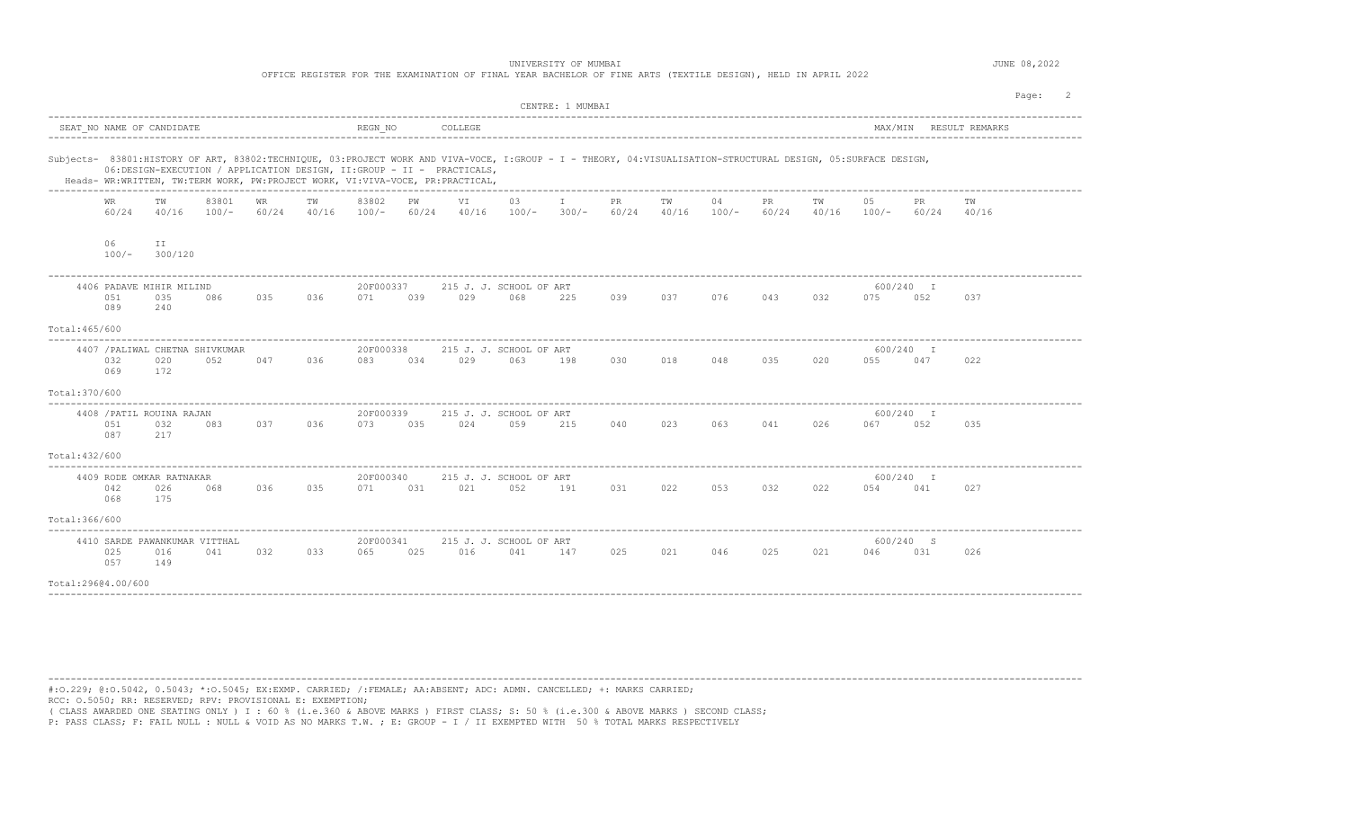UNIVERSITY OF MUMBAI **Alternative Contract Contract Contract Contract Contract Contract Contract Contract Contract Contract Contract Contract Contract Contract Contract Contract Contract Contract Contract Contract Contract** 

OFFICE REGISTER FOR THE EXAMINATION OF FINAL YEAR BACHELOR OF FINE ARTS (TEXTILE DESIGN), HELD IN APRIL 2022

|                    |                                                                                                                                                                                                                                                                                                                                                                                                                                                            |                                             |                                        |       |       |                  |       |         |                                | CENTRE: 1 MUMBAI |       |       |         |       |     |                 |                  | Page: |  |  |
|--------------------|------------------------------------------------------------------------------------------------------------------------------------------------------------------------------------------------------------------------------------------------------------------------------------------------------------------------------------------------------------------------------------------------------------------------------------------------------------|---------------------------------------------|----------------------------------------|-------|-------|------------------|-------|---------|--------------------------------|------------------|-------|-------|---------|-------|-----|-----------------|------------------|-------|--|--|
|                    |                                                                                                                                                                                                                                                                                                                                                                                                                                                            | SEAT NO NAME OF CANDIDATE                   |                                        |       |       | REGN NO          |       | COLLEGE | MAX/MIN RESULT REMARKS         |                  |       |       |         |       |     |                 |                  |       |  |  |
|                    | Subjects- 83801:HISTORY OF ART, 83802:TECHNIQUE, 03:PROJECT WORK AND VIVA-VOCE, I:GROUP - I - THEORY, 04:VISUALISATION-STRUCTURAL DESIGN, 05:SURFACE DESIGN,<br>06:DESIGN-EXECUTION / APPLICATION DESIGN, II:GROUP - II - PRACTICALS,<br>Heads- WR:WRITTEN, TW:TERM WORK, PW:PROJECT WORK, VI:VIVA-VOCE, PR:PRACTICAL,<br>83801<br>83802<br>VI<br>03<br>05<br><b>WR</b><br>TW<br>PW<br>$\mathbb{I}$<br>PR<br>ΤW<br>04<br>PR<br>TW<br>WR.<br>TW<br>TW<br>PR |                                             |                                        |       |       |                  |       |         |                                |                  |       |       |         |       |     |                 |                  |       |  |  |
|                    | 60/24                                                                                                                                                                                                                                                                                                                                                                                                                                                      | 40/16                                       | $100/-$                                | 60/24 | 40/16 | $100/-$          | 60/24 | 40/16   | $100/-$ 300/-                  |                  | 60/24 | 40/16 | $100/-$ | 60/24 |     | $40/16$ $100/-$ | 60/24            | 40/16 |  |  |
|                    | 06<br>$100/-$                                                                                                                                                                                                                                                                                                                                                                                                                                              | ΙI<br>300/120                               |                                        |       |       |                  |       |         |                                |                  |       |       |         |       |     |                 |                  |       |  |  |
|                    | 051<br>089                                                                                                                                                                                                                                                                                                                                                                                                                                                 | 4406 PADAVE MIHIR MILIND<br>035<br>240      | 086                                    | 035   | 036   | 20F000337<br>071 | 039   | 029     | 215 J. J. SCHOOL OF ART<br>068 | 225              | 039   | 037   | 076     | 043   | 032 | 075             | 600/240 I<br>052 | 037   |  |  |
| Total: 465/600     |                                                                                                                                                                                                                                                                                                                                                                                                                                                            |                                             |                                        |       |       |                  |       |         |                                |                  |       |       |         |       |     |                 |                  |       |  |  |
|                    | 032<br>069                                                                                                                                                                                                                                                                                                                                                                                                                                                 | 020<br>172                                  | 4407 / PALIWAL CHETNA SHIVKUMAR<br>052 | 047   | 036   | 20F000338<br>083 | 034   | 029     | 215 J. J. SCHOOL OF ART<br>063 | 198              | 030   | 018   | 048     | 035   | 020 | 055             | 600/240 I<br>047 | 022   |  |  |
| Total: 370/600     |                                                                                                                                                                                                                                                                                                                                                                                                                                                            |                                             |                                        |       |       |                  |       |         |                                |                  |       |       |         |       |     |                 |                  |       |  |  |
|                    | 051<br>087                                                                                                                                                                                                                                                                                                                                                                                                                                                 | 4408 / PATIL ROUINA RAJAN<br>032<br>217     | 083                                    | 037   | 036   | 20F000339<br>073 | 035   | 024     | 215 J. J. SCHOOL OF ART<br>059 | 215              | 040   | 023   | 063     | 041   | 026 | 067             | 600/240 I<br>052 | 035   |  |  |
| Total: 432/600     |                                                                                                                                                                                                                                                                                                                                                                                                                                                            |                                             |                                        |       |       |                  |       |         |                                |                  |       |       |         |       |     |                 |                  |       |  |  |
|                    | 042<br>068                                                                                                                                                                                                                                                                                                                                                                                                                                                 | 4409 RODE OMKAR RATNAKAR<br>026<br>175      | 068                                    | 036   | 035   | 20F000340<br>071 | 031   | 021     | 215 J. J. SCHOOL OF ART<br>052 | 191              | 031   | 022   | 053     | 032   | 022 | 054             | 600/240 I<br>041 | 027   |  |  |
| Total: 366/600     |                                                                                                                                                                                                                                                                                                                                                                                                                                                            |                                             |                                        |       |       |                  |       |         |                                |                  |       |       |         |       |     |                 |                  |       |  |  |
|                    | 025<br>057                                                                                                                                                                                                                                                                                                                                                                                                                                                 | 4410 SARDE PAWANKUMAR VITTHAL<br>016<br>149 | 041                                    | 032   | 033   | 20F000341<br>065 | 025   | 016     | 215 J. J. SCHOOL OF ART<br>041 | 147              | 025   | 021   | 046     | 025   | 021 | 046             | 600/240 S<br>031 | 026   |  |  |
| Total:29604.00/600 |                                                                                                                                                                                                                                                                                                                                                                                                                                                            |                                             |                                        |       |       |                  |       |         |                                |                  |       |       |         |       |     |                 |                  |       |  |  |

----------------------------------------------------------------------------------------------------------------------------------------------------------------------------------------

#:O.229; @:O.5042, 0.5043; \*:O.5045; EX:EXMP. CARRIED; /:FEMALE; AA:ABSENT; ADC: ADMN. CANCELLED; +: MARKS CARRIED; RCC: O.5050; RR: RESERVED; RPV: PROVISIONAL E: EXEMPTION;

( CLASS AWARDED ONE SEATING ONLY ) I : 60 % (i.e.360 & ABOVE MARKS ) FIRST CLASS; S: 50 % (i.e.300 & ABOVE MARKS ) SECOND CLASS;<br>P: PASS CLASS; F: FAIL NULL : NULL & VOID AS NO MARKS T.W. ; E: GROUP - I / II EXEMPTED WITH